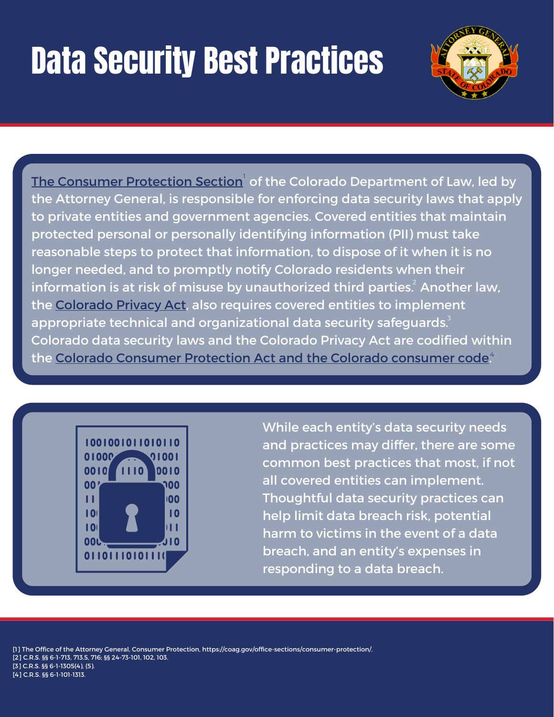# Data Security Best Practices



[The](https://coag.gov/office-sections/consumer-protection/) Consumer [Protection](https://coag.gov/office-sections/consumer-protection/) Section<sup>'</sup> of the Colorado Department of Law, led by the Attorney General, is responsible for enforcing data security laws that apply to private entities and government agencies. Covered entities that maintain protected personal or personally identifying information (PII) must take reasonable steps to protect that information, to dispose of it when it is no longer needed, and to promptly notify Colorado residents when their information is at risk of misuse by unauthorized third parties. $\hat{\text{c}}$  Another law, the [Colorado](https://leg.colorado.gov/sites/default/files/2021a_190_signed.pdf) Privacy Act, also requires covered entities to implement appropriate technical and organizational data security safeguards. $^{\text{3}}$ Colorado data security laws and the Colorado Privacy Act are codified within the <u>Colorado Consumer [Protection](https://advance.lexis.com/documentpage/?pdmfid=1000516&crid=88ef1572-8d03-4512-9adf-a46be8fffe4e&nodeid=AAGAABAABAAOAAO&nodepath=%2FROOT%2FAAG%2FAAGAAB%2FAAGAABAAB%2FAAGAABAABAAO%2FAAGAABAABAAOAAO&level=5&haschildren=&populated=false&title=6-1-1313.+Rules+-+opt-out+mechanism.&config=014FJAAyNGJkY2Y4Zi1mNjgyLTRkN2YtYmE4OS03NTYzNzYzOTg0OGEKAFBvZENhdGFsb2d592qv2Kywlf8caKqYROP5&pddocfullpath=%2Fshared%2Fdocument%2Fstatutes-legislation%2Furn%3AcontentItem%3A63JP-6XP3-GXJ9-331H-00008-00&ecomp=_g1_9kk&prid=58073416-db36-42bb-bc49-c90781d2f77e) Act and the Colorado consumer code</u>."



While each entity's data security needs and practices may differ, there are some common best practices that most, if not all covered entities can implement. Thoughtful data security practices can help limit data breach risk, potential harm to victims in the event of a data breach, and an entity's expenses in responding to a data breach.

[1] The Office of the Attorney General, Consumer Protection, https://coag.gov/office-sections/consumer-protection/. [2] C.R.S. §§ 6-1-713, 713.5, 716; §§ 24-73-101, 102, 103. [3] C.R.S. §§ 6-1-1305(4), (5). [4] C.R.S. §§ 6-1-101-1313.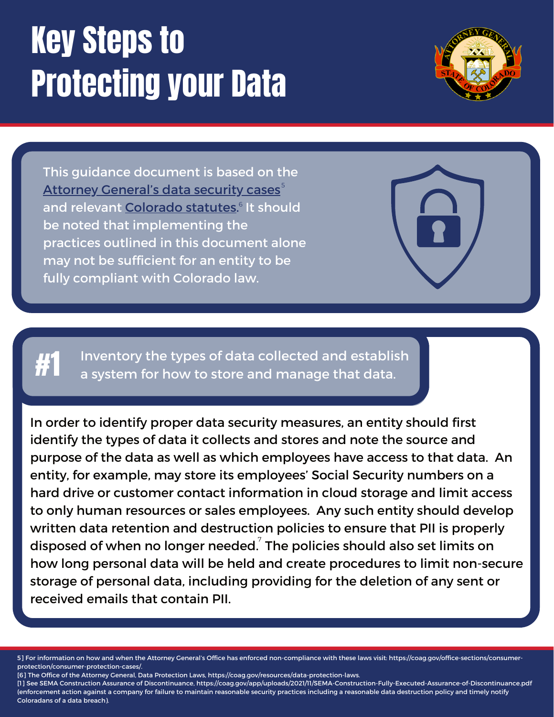# Key Steps to Protecting your Data



This guidance document is based on the Attorney [General's](https://coag.gov/office-sections/consumer-protection/consumer-protection-cases/) data security cases $^{\circ}$ and relevant [Colorado](https://coag.gov/resources/data-protection-laws/) statutes.<sup>6</sup> It should be noted that implementing the practices outlined in this document alone may not be sufficient for an entity to be fully compliant with Colorado law.

Inventory the types of data collected and establish<br>a system for how to store and manage that data.

In order to identify proper data security measures, an entity should first identify the types of data it collects and stores and note the source and purpose of the data as well as which employees have access to that data. An entity, for example, may store its employees' Social Security numbers on a hard drive or customer contact information in cloud storage and limit access to only human resources or sales employees. Any such entity should develop written data retention and destruction policies to ensure that PII is properly disposed of when no longer needed. $\vec{\;}$  The policies should also set limits on how long personal data will be held and create procedures to limit non-secure storage of personal data, including providing for the deletion of any sent or received emails that contain PII.

5] For information on how and when the Attorney General's Office has enforced non-compliance with these laws visit: https://coag.gov/office-sections/consumerprotection/consumer-protection-cases/.

[6] The Office of the Attorney General, Data Protection Laws, https://coag.gov/resources/data-protection-laws.

[1] See SEMA Construction Assurance of Discontinuance, https://coag.gov/app/uploads/2021/11/SEMA-Construction-Fully-Executed-Assurance-of-Discontinuance.pdf (enforcement action against a company for failure to maintain reasonable security practices including a reasonable data destruction policy and timely notify Coloradans of a data breach).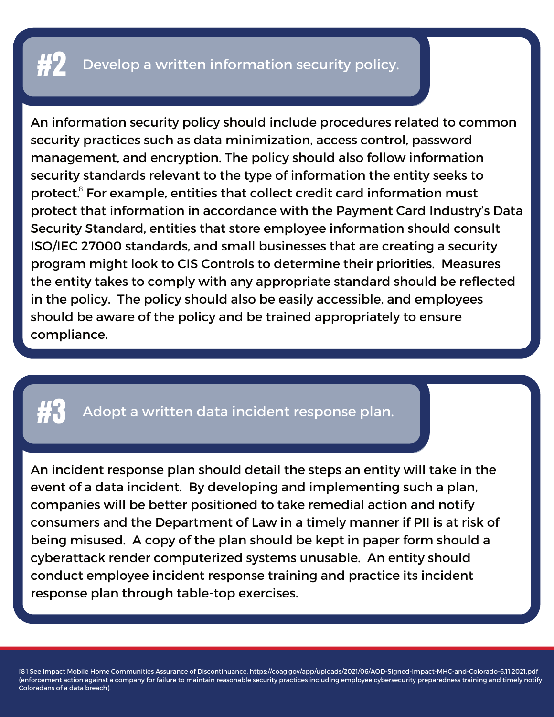An information security policy should include procedures related to common security practices such as data minimization, access control, password management, and encryption. The policy should also follow information security standards relevant to the type of information the entity seeks to protect. ${}^{8}$  For example, entities that collect credit card information must protect that information in accordance with the Payment Card Industry's Data Security Standard, entities that store employee information should consult ISO/IEC 27000 standards, and small businesses that are creating a security program might look to CIS Controls to determine their priorities. Measures the entity takes to comply with any appropriate standard should be reflected in the policy. The policy should also be easily accessible, and employees should be aware of the policy and be trained appropriately to ensure compliance.

### Adopt a written data incident response plan.

An incident response plan should detail the steps an entity will take in the event of a data incident. By developing and implementing such a plan, companies will be better positioned to take remedial action and notify consumers and the Department of Law in a timely manner if PII is at risk of being misused. A copy of the plan should be kept in paper form should a cyberattack render computerized systems unusable. An entity should conduct employee incident response training and practice its incident response plan through table-top exercises.

[8] See Impact Mobile Home Communities Assurance of Discontinuance, https://coag.gov/app/uploads/2021/06/AOD-Signed-Impact-MHC-and-Colorado-6.11.2021.pdf (enforcement action against a company for failure to maintain reasonable security practices including employee cybersecurity preparedness training and timely notify Coloradans of a data breach).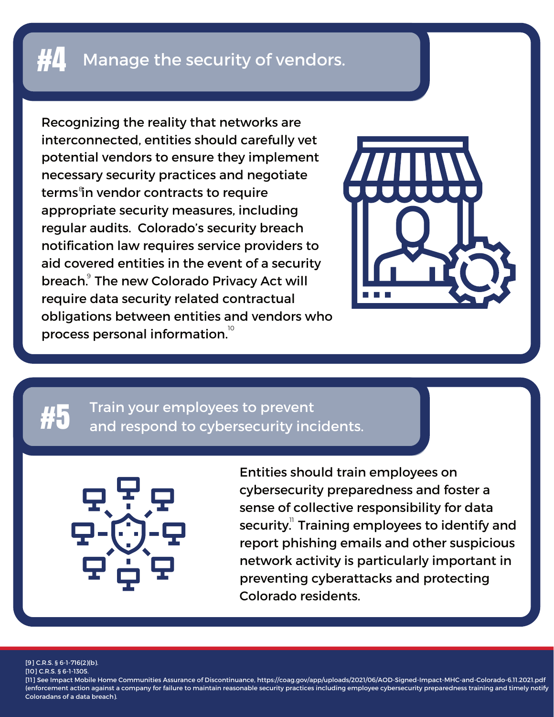### $\sharp 4$  Manage the security of vendors.

Recognizing the reality that networks are interconnected, entities should carefully vet potential vendors to ensure they implement necessary security practices and negotiate terms<sup>e</sup>in vendor contracts to require appropriate security measures, including regular audits. Colorado's security breach notification law requires service providers to aid covered entities in the event of a security breach. The new [Colorado](https://leg.colorado.gov/sites/default/files/2021a_190_signed.pdf) Privacy Act will require data security related contractual obligations between entities and vendors who process personal information. $^{\circ}$ 



### Train your employees to prevent and respond to cybersecurity incidents.



Entities should train employees on cybersecurity preparedness and foster a sense of collective responsibility for data security. $\phantom{i}^\shortparallel$  Training employees to identify and report phishing emails and other suspicious network activity is particularly important in preventing cyberattacks and protecting Colorado residents.

[9] C.R.S. § 6-1-716(2)(b).

[10] C.R.S. § 6-1-1305.

[11] See Impact Mobile Home Communities Assurance of Discontinuance, https://coag.gov/app/uploads/2021/06/AOD-Signed-Impact-MHC-and-Colorado-6.11.2021.pdf (enforcement action against a company for failure to maintain reasonable security practices including employee cybersecurity preparedness training and timely notify Coloradans of a data breach).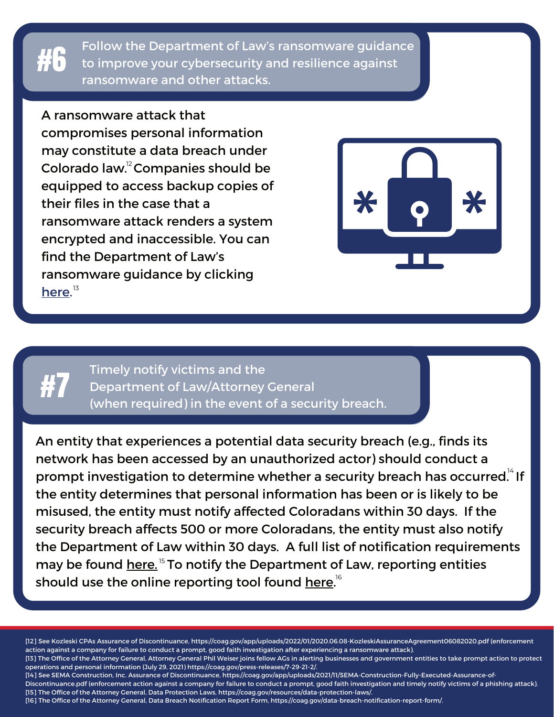Follow the Department of Law's ransomware guidance to improve your cybersecurity and resilience against ransomware and other attacks.

A ransomware attack that

compromises personal information may constitute a data breach under Colorado law. $2^{\circ}$ Companies should be equipped to access backup copies of their files in the case that a ransomware attack renders a system encrypted and inaccessible. You can find the Department of Law's ransomware guidance by clicking [here](https://coag.gov/press-releases/7-29-21-2/).<sup>13</sup>



## #7

#6

Timely notify victims and the Department of Law/Attorney General (when required) in the event of a security breach.

An entity that experiences a potential data security breach (e.g., finds its network has been accessed by an unauthorized actor) should conduct a prompt investigation to determine whether a security breach has occurred. $^\text{\tiny{14}}$  If the entity determines that personal information has been or is likely to be misused, the entity must notify affected Coloradans within 30 days. If the security breach affects 500 or more Coloradans, the entity must also notify the Department of Law within 30 days. A full list of notification requirements may be found <u>[here.](https://coag.gov/resources/data-protection-laws/) <sup>15</sup> To notify the Department of Law, reporting entities</u> should use the online reporting tool found <u>[here.](https://coag.gov/data-breach-notification-report-form/)</u><sup>16</sup>

[12] See Kozleski CPAs Assurance of Discontinuance, https://coag.gov/app/uploads/2022/01/2020.06.08-KozleskiAssuranceAgreement06082020.pdf (enforcement action against a company for failure to conduct a prompt, good faith investigation after experiencing a ransomware attack). [13] The Office of the Attorney General, Attorney General Phil Weiser joins fellow AGs in alerting businesses and government entities to take prompt action to protect operations and personal information (July 29, 2021) https://coag.gov/press-releases/7-29-21-2/. [14] See SEMA Construction, Inc. Assurance of Discontinuance, https://coag.gov/app/uploads/2021/11/SEMA-Construction-Fully-Executed-Assurance-of-Discontinuance.pdf (enforcement action against a company for failure to conduct a prompt, good faith investigation and timely notify victims of a phishing attack). [15] The Office of the Attorney General, Data Protection Laws, https://coag.gov/resources/data-protection-laws/. [16] The Office of the Attorney General, Data Breach Notification Report Form, https://coag.gov/data-breach-notification-report-form/.